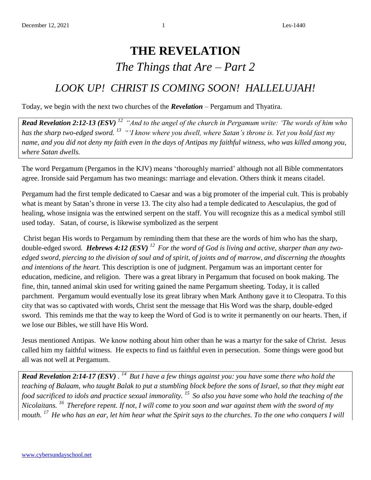## **THE REVELATION** *The Things that Are – Part 2*

## *LOOK UP! CHRIST IS COMING SOON! HALLELUJAH!*

Today, we begin with the next two churches of the *Revelation* – Pergamum and Thyatira.

*Read Revelation 2:12-13 (ESV) <sup>12</sup>"And to the angel of the church in Pergamum write: 'The words of him who has the sharp two-edged sword. <sup>13</sup>"'I know where you dwell, where Satan's throne is. Yet you hold fast my name, and you did not deny my faith even in the days of Antipas my faithful witness, who was killed among you, where Satan dwells.* 

The word Pergamum (Pergamos in the KJV) means 'thoroughly married' although not all Bible commentators agree. Ironside said Pergamum has two meanings: marriage and elevation. Others think it means citadel.

Pergamum had the first temple dedicated to Caesar and was a big promoter of the imperial cult. This is probably what is meant by Satan's throne in verse 13. The city also had a temple dedicated to Aesculapius, the god of healing, whose insignia was the entwined serpent on the staff. You will recognize this as a medical symbol still used today. Satan, of course, is likewise symbolized as the serpent

Christ began His words to Pergamum by reminding them that these are the words of him who has the sharp, double-edged sword*. Hebrews 4:12 (ESV) <sup>12</sup>For the word of God is living and active, sharper than any twoedged sword, piercing to the division of soul and of spirit, of joints and of marrow, and discerning the thoughts and intentions of the heart.* This description is one of judgment. Pergamum was an important center for education, medicine, and religion. There was a great library in Pergamum that focused on book making. The fine, thin, tanned animal skin used for writing gained the name Pergamum sheeting. Today, it is called parchment. Pergamum would eventually lose its great library when Mark Anthony gave it to Cleopatra. To this city that was so captivated with words, Christ sent the message that His Word was the sharp, double-edged sword. This reminds me that the way to keep the Word of God is to write it permanently on our hearts. Then, if we lose our Bibles, we still have His Word.

Jesus mentioned Antipas. We know nothing about him other than he was a martyr for the sake of Christ. Jesus called him my faithful witness. He expects to find us faithful even in persecution. Some things were good but all was not well at Pergamum.

*Read Revelation 2:14-17 (ESV)*. <sup>14</sup> But I have a few things against you: you have some there who hold the *teaching of Balaam, who taught Balak to put a stumbling block before the sons of Israel, so that they might eat food sacrificed to idols and practice sexual immorality. <sup>15</sup>So also you have some who hold the teaching of the Nicolaitans. <sup>16</sup>Therefore repent. If not, I will come to you soon and war against them with the sword of my mouth. <sup>17</sup>He who has an ear, let him hear what the Spirit says to the churches. To the one who conquers I will*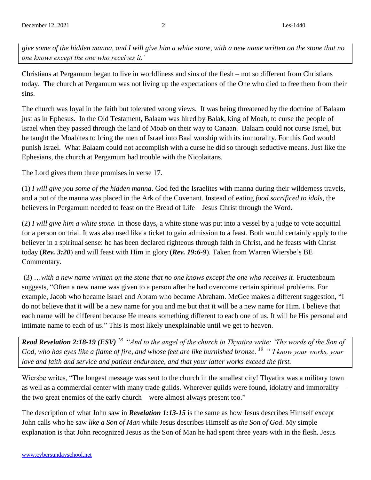*give some of the hidden manna, and I will give him a white stone, with a new name written on the stone that no one knows except the one who receives it.'*

Christians at Pergamum began to live in worldliness and sins of the flesh – not so different from Christians today. The church at Pergamum was not living up the expectations of the One who died to free them from their sins.

The church was loyal in the faith but tolerated wrong views. It was being threatened by the doctrine of Balaam just as in Ephesus. In the Old Testament, Balaam was hired by Balak, king of Moab, to curse the people of Israel when they passed through the land of Moab on their way to Canaan. Balaam could not curse Israel, but he taught the Moabites to bring the men of Israel into Baal worship with its immorality. For this God would punish Israel. What Balaam could not accomplish with a curse he did so through seductive means. Just like the Ephesians, the church at Pergamum had trouble with the Nicolaitans.

The Lord gives them three promises in verse 17.

(1) *I will give you some of the hidden manna*. God fed the Israelites with manna during their wilderness travels, and a pot of the manna was placed in the Ark of the Covenant. Instead of eating *food sacrificed to idols*, the believers in Pergamum needed to feast on the Bread of Life – Jesus Christ through the Word.

(2) *I will give him a white stone.* In those days, a white stone was put into a vessel by a judge to vote acquittal for a person on trial. It was also used like a ticket to gain admission to a feast. Both would certainly apply to the believer in a spiritual sense: he has been declared righteous through faith in Christ, and he feasts with Christ today (*Rev. 3:20*) and will feast with Him in glory (*Rev. 19:6-9*). Taken from Warren Wiersbe's BE Commentary.

(3) …*with a new name written on the stone that no one knows except the one who receives it*. Fructenbaum suggests, "Often a new name was given to a person after he had overcome certain spiritual problems. For example, Jacob who became Israel and Abram who became Abraham. McGee makes a different suggestion, "I do not believe that it will be a new name for you and me but that it will be a new name for Him. I believe that each name will be different because He means something different to each one of us. It will be His personal and intimate name to each of us." This is most likely unexplainable until we get to heaven.

*Read Revelation 2:18-19 (ESV) <sup>18</sup>"And to the angel of the church in Thyatira write: 'The words of the Son of God, who has eyes like a flame of fire, and whose feet are like burnished bronze. <sup>19</sup>"'I know your works, your love and faith and service and patient endurance, and that your latter works exceed the first.* 

Wiersbe writes, "The longest message was sent to the church in the smallest city! Thyatira was a military town as well as a commercial center with many trade guilds. Wherever guilds were found, idolatry and immorality the two great enemies of the early church—were almost always present too."

The description of what John saw in *Revelation 1:13-15* is the same as how Jesus describes Himself except John calls who he saw *like a Son of Man* while Jesus describes Himself as *the Son of God*. My simple explanation is that John recognized Jesus as the Son of Man he had spent three years with in the flesh. Jesus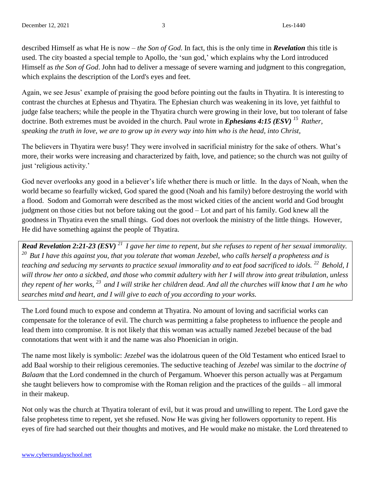described Himself as what He is now – *the Son of God*. In fact, this is the only time in *Revelation* this title is used. The city boasted a special temple to Apollo, the 'sun god,' which explains why the Lord introduced Himself as *the Son of God*. John had to deliver a message of severe warning and judgment to this congregation, which explains the description of the Lord's eyes and feet.

Again, we see Jesus' example of praising the good before pointing out the faults in Thyatira. It is interesting to contrast the churches at Ephesus and Thyatira. The Ephesian church was weakening in its love, yet faithful to judge false teachers; while the people in the Thyatira church were growing in their love, but too tolerant of false doctrine. Both extremes must be avoided in the church. Paul wrote in *Ephesians 4:15 (ESV)* <sup>15</sup> Rather, *speaking the truth in love, we are to grow up in every way into him who is the head, into Christ,*

The believers in Thyatira were busy! They were involved in sacrificial ministry for the sake of others. What's more, their works were increasing and characterized by faith, love, and patience; so the church was not guilty of just 'religious activity.'

God never overlooks any good in a believer's life whether there is much or little. In the days of Noah, when the world became so fearfully wicked, God spared the good (Noah and his family) before destroying the world with a flood. Sodom and Gomorrah were described as the most wicked cities of the ancient world and God brought judgment on those cities but not before taking out the good – Lot and part of his family. God knew all the goodness in Thyatira even the small things. God does not overlook the ministry of the little things. However, He did have something against the people of Thyatira.

*Read Revelation 2:21-23 (ESV) <sup>21</sup>I gave her time to repent, but she refuses to repent of her sexual immorality. <sup>20</sup>But I have this against you, that you tolerate that woman Jezebel, who calls herself a prophetess and is teaching and seducing my servants to practice sexual immorality and to eat food sacrificed to idols. <sup>22</sup>Behold, I will throw her onto a sickbed, and those who commit adultery with her I will throw into great tribulation, unless they repent of her works, <sup>23</sup>and I will strike her children dead. And all the churches will know that I am he who searches mind and heart, and I will give to each of you according to your works.*

The Lord found much to expose and condemn at Thyatira. No amount of loving and sacrificial works can compensate for the tolerance of evil. The church was permitting a false prophetess to influence the people and lead them into compromise. It is not likely that this woman was actually named Jezebel because of the bad connotations that went with it and the name was also Phoenician in origin.

The name most likely is symbolic: *Jezebel* was the idolatrous queen of the Old Testament who enticed Israel to add Baal worship to their religious ceremonies. The seductive teaching of *Jezebel* was similar to the *doctrine of Balaam* that the Lord condemned in the church of Pergamum. Whoever this person actually was at Pergamum she taught believers how to compromise with the Roman religion and the practices of the guilds – all immoral in their makeup.

Not only was the church at Thyatira tolerant of evil, but it was proud and unwilling to repent. The Lord gave the false prophetess time to repent, yet she refused. Now He was giving her followers opportunity to repent. His eyes of fire had searched out their thoughts and motives, and He would make no mistake. the Lord threatened to